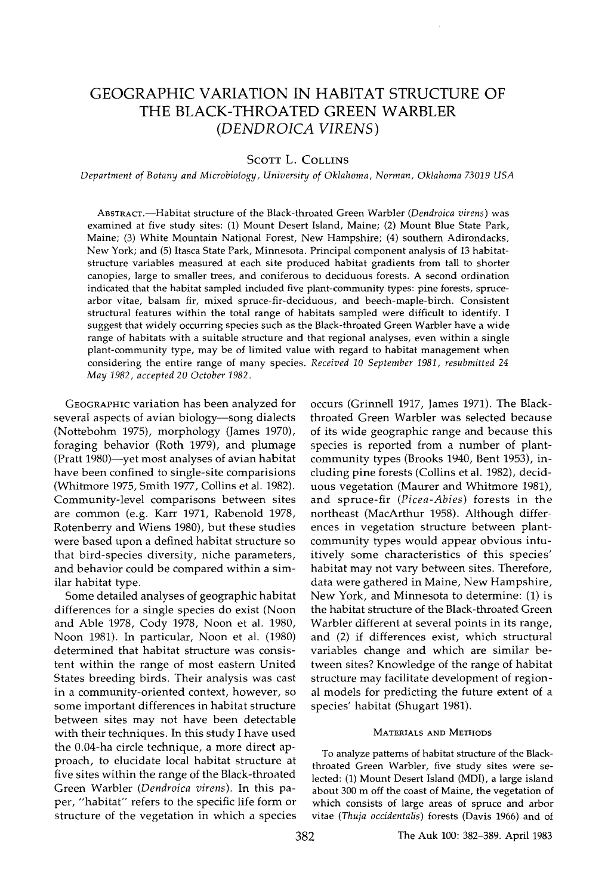# **GEOGRAPHIC VARIATION IN HABITAT STRUCTURE OF THE BLACK-THROATED GREEN WARBLER (DENDROICA VIRENS)**

## **SCOTT L. COLLINS**

**Department of Botany and Microbiology, University of Oklahoma, Norman, Oklahoma 73019 USA** 

**ABSTRACT.--Habitat structure of the Black-throated Green Warbler (Dendroica virens) was examined at five study sites: (1) Mount Desert Island, Maine; (2) Mount Blue State Park, Maine; (3) White Mountain National Forest, New Hampshire; (4) southern Adirondacks, New York; and (5) Itasca State Park, Minnesota. Principal component analysis of 13 habitatstructure variables measured at each site produced habitat gradients from tall to shorter canopies, large to smaller trees, and coniferous to deciduous forests. A second ordination indicated that the habitat sampled included five plant-community types: pine forests, sprucearbor vitae, balsam fir, mixed spruce-fir-deciduous, and beech-maple-birch. Consistent structural features within the total range of habitats sampled were difficult to identify. I suggest that widely occurring species such as the Black-throated Green Warbler have a wide range of habitats with a suitable structure and that regional analyses, even within a single plant-community type, may be of limited value with regard to habitat management when considering the entire range of many species. Received 10 September 1981, resubmitted 24 May 1982, accepted 20 October 1982.** 

**GEOGRAPHIC variation has been analyzed for several aspects of avian biology--song dialects (Nottebohm 1975), morphology (James 1970), foraging behavior (Roth 1979), and plumage (Pratt 1980)--yet most analyses of avian habitat have been confined to single-site comparisions (Whitmore 1975, Smith 1977, Collins et al. 1982). Community-level comparisons between sites are common (e.g. Karr 1971, Rabenold 1978, Rotenberry and Wiens 1980), but these studies were based upon a defined habitat structure so that bird-species diversity, niche parameters, and behavior could be compared within a similar habitat type.** 

**Some detailed analyses of geographic habitat differences for a single species do exist (Noon and Able 1978, Cody 1978, Noon et al. 1980, Noon 1981). In particular, Noon et al. (1980) determined that habitat structure was consistent within the range of most eastern United States breeding birds. Their analysis was cast in a community-oriented context, however, so some important differences in habitat structure between sites may not have been detectable with their techniques. In this study I have used the 0.04-ha circle technique, a more direct approach, to elucidate local habitat structure at five sites within the range of the Black-throated Green Warbler (Dendroica virens). In this paper, "habitat" refers to the specific life form or structure of the vegetation in which a species**  **occurs (Grinnell 1917, James 1971). The Blackthroated Green Warbler was selected because of its wide geographic range and because this species is reported from a number of plantcommunity types (Brooks 1940, Bent 1953), including pine forests (Collins et al. 1982), deciduous vegetation (Maurer and Whitmore 1981), and spruce-fir (Picea-Abies) forests in the northeast (MacArthur 1958). Although differences in vegetation structure between plantcommunity types would appear obvious intuitively some characteristics of this species' habitat may not vary between sites. Therefore, data were gathered in Maine, New Hampshire, New York, and Minnesota to determine: (1) is the habitat structure of the Black-throated Green Warbler different at several points in its range, and (2) if differences exist, which structural variables change and which are similar between sites? Knowledge of the range of habitat structure may facilitate development of regional models for predicting the future extent of a species' habitat (Shugart 1981).** 

### **MATERIALS AND METHODS**

**To analyze patterns of habitat structure of the Blackthroated Green Warbler, five study sites were selected: (1) Mount Desert Island (MDI), a large island about 300 m off the coast of Maine, the vegetation of which consists of large areas of spruce and arbor vitae (Thuja occidentalis) forests (Davis 1966) and of**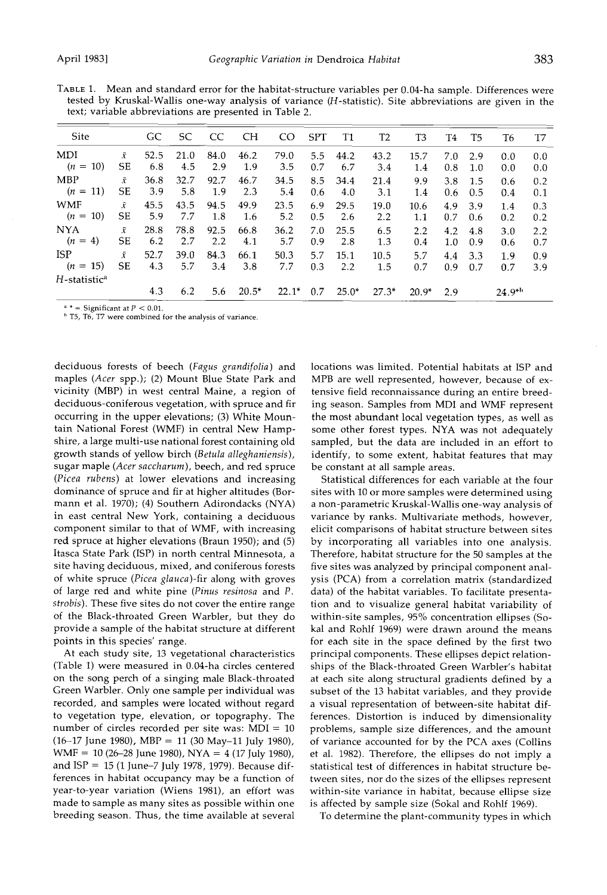**TABLE 1. Mean and standard error for the habitat-structure variables per 0.04-ha sample. Differences were tested by Kruskal-Wallis one-way analysis of variance (H-statistic). Site abbreviations are given in the text; variable abbreviations are presented in Table 2.** 

| Site                       |                        | GC          | SС          | CC          | СH          | CO.         | <b>SPT</b> | T1          | T2          | T3          | T4         | T5         | T6          | T7         |
|----------------------------|------------------------|-------------|-------------|-------------|-------------|-------------|------------|-------------|-------------|-------------|------------|------------|-------------|------------|
| MDI<br>10)<br>$(n =$       | $\bar{x}$<br>SЕ        | 52.5<br>6.8 | 21.0<br>4.5 | 84.0<br>2.9 | 46.2<br>1.9 | 79.0<br>3.5 | 5.5<br>0.7 | 44.2<br>6.7 | 43.2<br>3.4 | 15.7<br>1.4 | 7.0<br>0.8 | 2.9<br>1.0 | 0.0<br>0.0  | 0.0<br>0.0 |
| MBP<br><b>11</b><br>$(n =$ | $\bar{x}$<br>SЕ        | 36.8<br>3.9 | 32.7<br>5.8 | 92.7<br>1.9 | 46.7<br>2.3 | 34.5<br>5.4 | 8.5<br>0.6 | 34.4<br>4.0 | 21.4<br>3.1 | 9.9<br>1.4  | 3.8<br>0.6 | 1.5<br>0.5 | 0.6<br>0.4  | 0.2<br>0.1 |
| WMF<br>$(n =$<br>10)       | $\bar{x}$<br>SЕ        | 45.5<br>5.9 | 43.5<br>7.7 | 94.5<br>1.8 | 49.9<br>1.6 | 23.5<br>5.2 | 6.9<br>0.5 | 29.5<br>2.6 | 19.0<br>2.2 | 10.6<br>1.1 | 4.9<br>0.7 | 3.9<br>0.6 | 1.4<br>0.2  | 0.3<br>0.2 |
| <b>NYA</b><br>$(n = 4)$    | $\bar{x}$<br>SЕ        | 28.8<br>6.2 | 78.8<br>2.7 | 92.5<br>2.2 | 66.8<br>4.1 | 36.2<br>5.7 | 7.0<br>0.9 | 25.5<br>2.8 | 6.5<br>1.3  | 2.2<br>0.4  | 4.2<br>1.0 | 4.8<br>0.9 | 3.0<br>0.6  | 2.2<br>0.7 |
| <b>ISP</b><br>$(n = 15)$   | $\bar{x}$<br><b>SE</b> | 52.7<br>4.3 | 39.0<br>5.7 | 84.3<br>3.4 | 66.1<br>3.8 | 50.3<br>7.7 | 5.7<br>0.3 | 15.1<br>2.2 | 10.5<br>1.5 | 5.7<br>0.7  | 4.4<br>0.9 | 3.3<br>0.7 | 1.9<br>0.7  | 0.9<br>3.9 |
| H-statistic <sup>a</sup>   |                        | 4.3         | 6.2         | 5.6         | $20.5*$     | $22.1*$     | 0.7        | $25.0*$     | $27.3*$     | $20.9*$     | 2.9        |            | $24.9^{*b}$ |            |

 $e^{a*}$  = Significant at  $P < 0.01$ .

**h T5, T6, T7 were combined for the analysis of variance.** 

**deciduous forests of beech (Fagus grandifolia) and maples (Acer spp.); (2) Mount Blue State Park and vicinity (MBP) in west central Maine, a region of deciduous-coniferous vegetation, with spruce and fir occurring in the upper elevations; (3) White Mountain National Forest (WMF) in central New Hampshire, a large multi-use national forest containing old growth stands of yellow birch (Betula alleghaniensis), sugar maple (Acer saccharum), beech, and red spruce (Picea rubens) at lower elevations and increasing dominance of spruce and fir at higher altitudes (Bormann et al. 1970); (4) Southern Adirondacks (NYA) in east central New York, containing a deciduous component similar to that of WMF, with increasing red spruce at higher elevations (Braun 1950); and (5) Itasca State Park (ISP) in north central Minnesota, a site having deciduous, mixed, and coniferous forests of white spruce (Picea glauca)-fir along with groves of large red and white pine (Pinus resinosa and P. strobis). These five sites do not cover the entire range of the Black-throated Green Warbler, but they do provide a sample of the habitat structure at different points in this species' range.** 

**At each study site, 13 vegetational characteristics (Table 1) were measured in 0.04-ha circles centered on the song perch of a singing male Black-throated Green Warbler. Only one sample per individual was recorded, and samples were located without regard to vegetation type, elevation, or topography. The number of circles recorded per site was: MDI = 10 (16-17 June 1980), MBP = 11 (30 May-ll July 1980), WMF = 10 (26-28 June 1980), NYA = 4 (17 July 1980), and ISP = 15 (1 June-7 July 1978, 1979). Because differences in habitat occupancy may be a function of year-to-year variation (Wiens 1981), an effort was made to sample as many sites as possible within one breeding season. Thus, the time available at several** 

**locations was limited. Potential habitats at ISP and MPB are well represented, however, because of extensive field reconnaissance during an entire breeding season. Samples from MDI and WMF represent the most abundant local vegetation types, as well as some other forest types. NYA was not adequately sampled, but the data are included in an effort to identify, to some extent, habitat features that may be constant at all sample areas.** 

**Statistical differences for each variable at the four sites with 10 or more samples were determined using a non-parametric Kruskal-Wallis one-way analysis of variance by ranks. Multivariate methods, however, elicit comparisons of habitat structure between sites by incorporating all variables into one analysis. Therefore, habitat structure for the 50 samples at the five sites was analyzed by principal component analysis (PCA) from a correlation matrix (standardized data) of the habitat variables. To facilitate presentation and to visualize general habitat variability of within-site samples, 95% concentration ellipses (Sokal and Rohlf 1969) were drawn around the means for each site in the space defined by the first two principal components. These ellipses depict relationships of the Black-throated Green Warbler's habitat at each site along structural gradients defined by a subset of the 13 habitat variables, and they provide a visual representation of between-site habitat differences. Distortion is induced by dimensionality problems, sample size differences, and the amount of variance accounted for by the PCA axes (Collins et al. 1982). Therefore, the ellipses do not imply a statistical test of differences in habitat structure between sites, nor do the sizes of the ellipses represent within-site variance in habitat, because ellipse size is affected by sample size (Sokal and Rohlf 1969).** 

**To determine the plant-community types in which**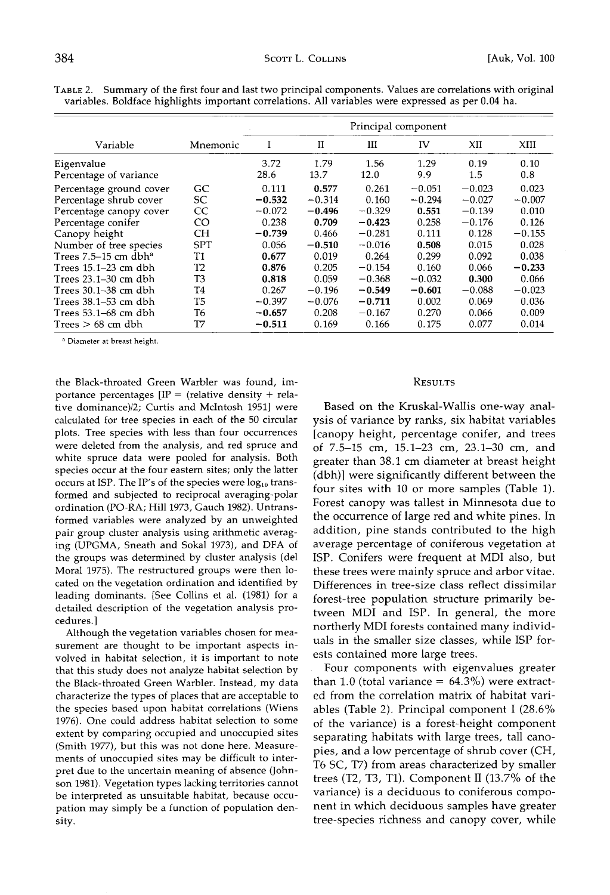|                                                   |                | Principal component |              |              |             |             |             |
|---------------------------------------------------|----------------|---------------------|--------------|--------------|-------------|-------------|-------------|
| Variable                                          | Mnemonic       | I                   | $_{\rm II}$  | ш            | IV          | XII         | XIII        |
| Eigenvalue                                        |                | 3.72<br>28.6        | 1.79<br>13.7 | 1.56<br>12.0 | 1.29<br>9.9 | 0.19<br>1.5 | 0.10<br>0.8 |
| Percentage of variance<br>Percentage ground cover | GC             | 0.111               | 0.577        | 0.261        | $-0.051$    | $-0.023$    | 0.023       |
| Percentage shrub cover                            | SC             | $-0.532$            | $-0.314$     | 0.160        | $-0.294$    | $-0.027$    | $-0.007$    |
| Percentage canopy cover                           | CC             | $-0.072$            | $-0.496$     | $-0.329$     | 0.551       | $-0.139$    | 0.010       |
| Percentage conifer                                | CO             | 0.238               | 0.709        | $-0.423$     | 0.258       | $-0.176$    | 0.126       |
| Canopy height                                     | CН             | $-0.739$            | 0.466        | $-0.281$     | 0.111       | 0.128       | $-0.155$    |
| Number of tree species                            | <b>SPT</b>     | 0.056               | $-0.510$     | $-0.016$     | 0.508       | 0.015       | 0.028       |
| Trees $7.5-15$ cm dbh <sup>a</sup>                | T1             | 0.677               | 0.019        | 0.264        | 0.299       | 0.092       | 0.038       |
| Trees 15.1–23 cm dbh                              | T <sub>2</sub> | 0.876               | 0.205        | $-0.154$     | 0.160       | 0.066       | $-0.233$    |
| Trees 23.1–30 cm dbh                              | T3             | 0.818               | 0.059        | $-0.368$     | $-0.032$    | 0.300       | 0.066       |
| Trees 30.1–38 cm dbh                              | T4             | 0.267               | $-0.196$     | $-0.549$     | $-0.601$    | $-0.088$    | $-0.023$    |
| Trees 38.1–53 cm dbh                              | T5             | $-0.397$            | $-0.076$     | $-0.711$     | 0.002       | 0.069       | 0.036       |
| Trees 53.1–68 cm dbh                              | T6             | $-0.657$            | 0.208        | $-0.167$     | 0.270       | 0.066       | 0.009       |
| Trees $> 68$ cm dbh                               | T7             | $-0.511$            | 0.169        | 0.166        | 0.175       | 0.077       | 0.014       |

**TABLE 2. Summary of the first four and last two principal components. Values are correlations with original variables. Boldface highlights important correlations. All variables were expressed as per 0.04 ha.** 

**Diameter at breast height.** 

**the Black-throated Green Warbler was found, importance percentages [IP = (relative density + relative dominance)/2; Curtis and Mcintosh 1951] were calculated for tree species in each of the 50 circular plots. Tree species with less than four occurrences were deleted from the analysis, and red spruce and white spruce data were pooled for analysis. Both species occur at the four eastern sites; only the latter**  occurs at ISP. The IP's of the species were  $log_{10}$  trans**formed and subjected to reciprocal averaging-polar ordination (PO-RA; Hill 1973, Gauch 1982). Untransformed variables were analyzed by an unweighted pair group cluster analysis using arithmetic averaging (UPGMA, Sneath and Sokal 1973), and DFA of the groups was determined by cluster analysis (del Moral 1975). The restructured groups were then located on the vegetation ordination and identified by leading dominants. [See Collins et al. (1981) for a detailed description of the vegetation analysis procedures.]** 

**Although the vegetation variables chosen for measurement are thought to be important aspects involved in habitat selection, it is important to note that this study does not analyze habitat selection by the Black-throated Green Warbler. Instead, my data characterize the types of places that are acceptable to the species based upon habitat correlations (Wiens 1976). One could address habitat selection to some extent by comparing occupied and unoccupied sites (Smith 1977), but this was not done here. Measurements of unoccupied sites may be difficult to interpret due to the uncertain meaning of absence (Johnson 1981). Vegetation types lacking territories cannot be interpreted as unsuitable habitat, because occupation may simply be a function of population density.** 

#### **RESULTS**

**Based on the Kruskal-Wallis one-way analysis of variance by ranks, six habitat variables [canopy height, percentage conifer, and trees of 7.5-15 cm, 15.1-23 cm, 23.1-30 cm, and greater than 38.1 cm diameter at breast height (dbh)] were significantly different between the four sites with 10 or more samples (Table 1). Forest canopy was tallest in Minnesota due to the occurrence of large red and white pines. In addition, pine stands contributed to the high average percentage of coniferous vegetation at ISP. Conifers were frequent at MDI also, but these trees were mainly spruce and arbor vitae. Differences in tree-size class reflect dissimilar forest-tree population structure primarily between MDI and ISP. In general, the more northerly MDI forests contained many individuals in the smaller size classes, while ISP forests contained more large trees.** 

**Four components with eigenvalues greater**  than 1.0 (total variance  $= 64.3\%$ ) were extract**ed from the correlation matrix of habitat variables (Table 2). Principal component I (28.6% of the variance) is a forest-height component separating habitats with large trees, tall canopies, and a low percentage of shrub cover (CH, T6 SC, T7) from areas characterized by smaller trees (T2, T3, T1). Component II (13.7% of the variance) is a deciduous to coniferous component in which deciduous samples have greater tree-species richness and canopy cover, while**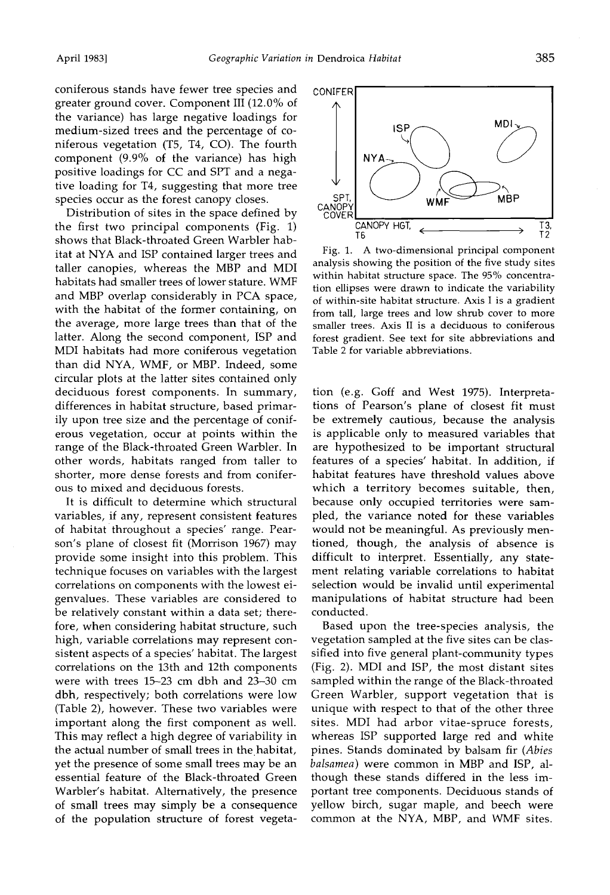**coniferous stands have fewer tree species and greater ground cover. Component III (12.0% of the variance) has large negative loadings for medium-sized trees and the percentage of coniferous vegetation (T5, T4, CO). The fourth component (9.9% of the variance) has high positive loadings for CC and SPT and a negative loading for T4, suggesting that more tree species occur as the forest canopy closes.** 

**Distribution of sites in the space defined by the first two principal components (Fig. 1) shows that Black-throated Green Warbler habitat at NYA and ISP contained larger trees and taller canopies, whereas the MBP and MDI habitats had smaller trees of lower stature. WMF and MBP overlap considerably in PCA space, with the habitat of the former containing, on the average, more large trees than that of the latter. Along the second component, ISP and MDI habitats had more coniferous vegetation than did NYA, WMF, or MBP. Indeed, some circular plots at the latter sites contained only deciduous forest components. In summary, differences in habitat structure, based primarily upon tree size and the percentage of coniferous vegetation, occur at points within the range of the Black-throated Green Warbler. In other words, habitats ranged from taller to shorter, more dense forests and from coniferous to mixed and deciduous forests.** 

**It is difficult to determine which structural variables, if any, represent consistent features of habitat throughout a species' range. Pearson's plane of closest fit (Morrison 1967) may provide some insight into this problem. This technique focuses on variables with the largest correlations on components with the lowest eigenvalues. These variables are considered to be relatively constant within a data set; therefore, when considering habitat structure, such high, variable correlations may represent consistent aspects of a species' habitat. The largest correlations on the 13th and 12th components were with trees 15-23 cm dbh and 23-30 cm dbh, respectively; both correlations were low (Table 2), however. These two variables were important along the first component as well. This may reflect a high degree of variability in the actual number of small trees in the.habitat, yet the presence of some small trees may be an essential feature of the Black-throated Green Warbler's habitat. Alternatively, the presence of small trees may simply be a consequence of the population structure of forest vegeta-**



**Fig. 1. A two-dimensional principal component analysis showing the position of the five study sites within habitat structure space. The 95% concentration ellipses were drawn to indicate the variability of within-site habitat structure. Axis I is a gradient from tall, large trees and low shrub cover to more smaller trees. Axis II is a deciduous to coniferous forest gradient. See text for site abbreviations and Table 2 for variable abbreviations.** 

**tion (e.g. Goff and West 1975). Interpretations of Pearson's plane of closest fit must be extremely cautious, because the analysis is applicable only to measured variables that are hypothesized to be important structural features of a species' habitat. In addition, if habitat features have threshold values above which a territory becomes suitable, then, because only occupied territories were sampled, the variance noted for these variables would not be meaningful. As previously mentioned, though, the analysis of absence is difficult to interpret. Essentially, any statement relating variable correlations to habitat selection would be invalid until experimental manipulations of habitat structure had been conducted.** 

**Based upon the tree-species analysis, the vegetation sampled at the five sites can be classified into five general plant-community types (Fig. 2). MDI and ISP, the most distant sites sampled within the range of the Black-throated Green Warbler, support vegetation that is unique with respect to that of the other three sites. MDI had arbor vitae-spruce forests, whereas ISP supported large red and white pines. Stands dominated by balsam fir (Abies balsamea) were common in MBP and ISP, although these stands differed in the less important tree components. Deciduous stands of yellow birch, sugar maple, and beech were common at the NYA, MBP, and WMF sites.**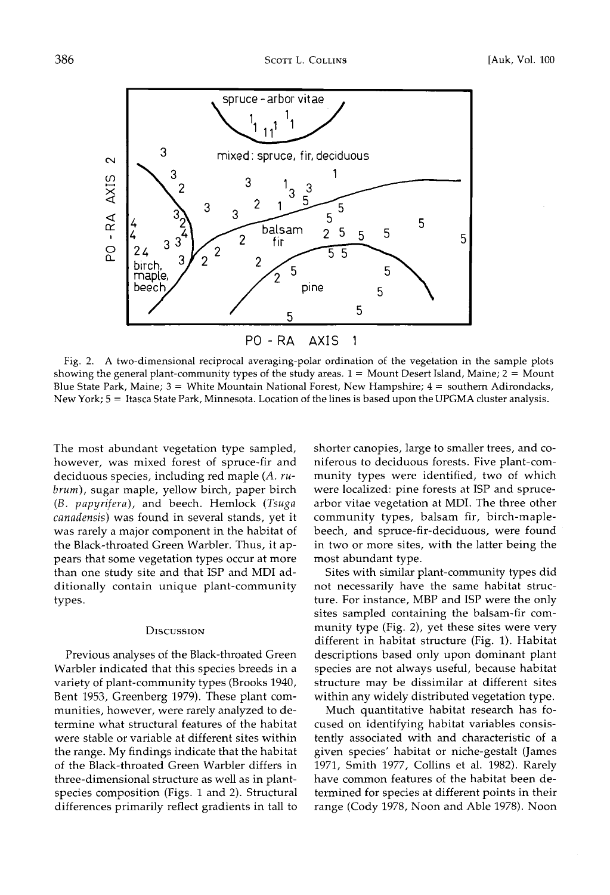

Fig. 2. A two-dimensional reciprocal averaging-polar ordination of the vegetation in the sample plots showing the general plant-community types of the study areas.  $1 =$  Mount Desert Island, Maine;  $2 =$  Mount Blue State Park, Maine; 3 = White Mountain National Forest, New Hampshire; 4 = southern Adirondacks, New York; 5 = Itasca State Park, Minnesota. Location of the lines is based upon the UPGMA cluster analysis.

**The most abundant vegetation type sampled, however, was mixed forest of spruce-fir and deciduous species, including red maple (A. rubrum), sugar maple, yellow birch, paper birch (B. papyrifera), and beech. Hemlock (Tsuga canadensis) was found in several stands, yet it was rarely a major component in the habitat of the Black-throated Green Warbler. Thus, it appears that some vegetation types occur at more than one study site and that ISP and MDI additionally contain unique plant-community types.** 

#### **Discussion**

**Previous analyses of the Black-throated Green Warbler indicated that this species breeds in a variety of plant-community types (Brooks 1940, Bent 1953, Greenberg 1979). These plant communities, however, were rarely analyzed to determine what structural features of the habitat were stable or variable at different sites within the range. My findings indicate that the habitat of the Black-throated Green Warbler differs in three-dimensional structure as well as in plantspecies composition (Figs. I and 2). Structural differences primarily reflect gradients in tall to** 

**shorter canopies, large to smaller trees, and coniferous to deciduous forests. Five plant-community types were identified, two of which were localized: pine forests at ISP and sprucearbor vitae vegetation at MDI. The three other community types, balsam fir, birch-maplebeech, and spruce-fir-deciduous, were found in two or more sites, with the latter being the most abundant type.** 

**Sites with similar plant-community types did not necessarily have the same habitat structure. For instance, MBP and ISP were the only sites sampled containing the balsam-fir community type (Fig. 2), yet these sites were very different in habitat structure (Fig. 1). Habitat descriptions based only upon dominant plant species are not always useful, because habitat structure may be dissimilar at different sites within any widely distributed vegetation type.** 

**Much quantitative habitat research has focused on identifying habitat variables consistently associated with and characteristic of a given species' habitat or niche-gestalt (James 1971, Smith 1977, Collins et al. 1982). Rarely have common features of the habitat been determined for species at different points in their range (Cody 1978, Noon and Able 1978). Noon**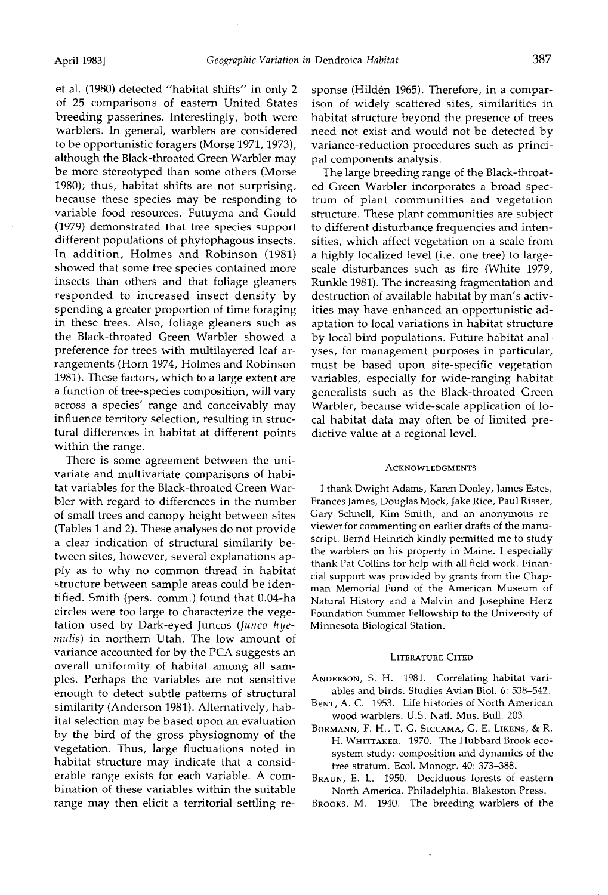**et al. (1980) detected "habitat shifts" in only 2 of 25 comparisons of eastern United States breeding passerines. Interestingly, both were warblers. In general, warblers are considered to be opportunisfic foragers (Morse 1971, 1973), although the Black-throated Green Warbler may be more stereotyped than some others (Morse 1980); thus, habitat shifts are not surprising, because these species may be responding to variable food resources. Futuyma and Gould (1979) demonstrated that tree species support different populations of phytophagous insects. In addition, Holmes and Robinson (1981) showed that some tree species contained more insects than others and that foliage gleaners responded to increased insect density by spending a greater proportion of time foraging in these trees. Also, foliage gleaners such as the Black-throated Green Warbler showed a preference for trees with multilayered leaf arrangements (Horn 1974, Holmes and Robinson 1981). These factors, which to a large extent are a function of tree-species composition, will vary across a species' range and conceivably may influence territory selection, resulting in structural differences in habitat at different points within the range.** 

**There is some agreement between the univariate and multivariate comparisons of habitat variables for the Black-throated Green Warbler with regard to differences in the number of small trees and canopy height between sites (Tables 1 and 2). These analyses do not provide a clear indication of structural similarity between sites, however, several explanations apply as to why no common thread in habitat structure between sample areas could be identitled. Smith (pers. comm.) found that 0.04-ha circles were too large to characterize the vegetation used by Dark-eyed Juncos (Junco hyernulis) in northern Utah. The low amount of variance accounted for by the PCA suggests an overall uniformity of habitat among all sampies. Perhaps the variables are not sensitive enough to detect subtle patterns of structural similarity (Anderson 1981). Alternatively, habitat selection may be based upon an evaluation by the bird of the gross physiognomy of the vegetation. Thus, large fluctuations noted in habitat structure may indicate that a considerable range exists for each variable. A combination of these variables within the suitable range may then elicit a territorial settling re-** sponse (Hildén 1965). Therefore, in a compar**ison of widely scattered sites, similarities in habitat structure beyond the presence of trees need not exist and would not be detected by variance-reduction procedures such as principal components analysis.** 

**The large breeding range of the Black-throated Green Warbler incorporates a broad spectrum of plant communities and vegetation structure. These plant communities are subject to different disturbance frequencies and intensities, which affect vegetation on a scale from a highly localized level (i.e. one tree) to largescale disturbances such as fire (White 1979, Runkle 1981). The increasing fragmentation and destruction of available habitat by man's activities may have enhanced an opportunisfic adaptation to local variations in habitat structure by local bird populations. Future habitat analyses, for management purposes in particular, must be based upon site-specific vegetation variables, especially for wide-ranging habitat generalists such as the Black-throated Green Warbler, because wide-scale application of local habitat data may often be of limited predictive value at a regional level.** 

#### **ACKNOWLEDGMENTS**

**I thank Dwight Adams, Karen Dooley, James Estes, Frances James, Douglas Mock, Jake Rice, Paul Risser, Gary Schnell, Kim Smith, and an anonymous reviewer for commenting on earlier drafts of the manuscript. Bernd Heinrich kindly permitted me to study the warblers on his property in Maine. I especially thank Pat Collins for help with all field work. Financial support was provided by grants from the Chapman Memorial Fund of the American Museum of Natural History and a Malvin and Josephine Herz Foundation Summer Fellowship to the University of Minnesota Biological Station.** 

#### **LITERATURE CITED**

- **ANDERSON, S. H. 1981. Correlating habitat variables and birds. Studies Avian Biol. 6: 538-542.**
- **BENT, A. C. 1953. Life histories of North American wood warblers. U.S. Natl. Mus. Bull. 203.**
- **BORMANN, F. H., T. G. SICCAMA, G. E. LIKENS, & R. H. WHITTAKER. 1970. The Hubbard Brook ecosystem study: composition and dynamics of the tree stratum. Eco]. Monogr. 40: 373-388.**

**BRAUN, E. L. 1950. Deciduous forests of eastern North America. Philadelphia. Blakeston Press.** 

**BROOKS, M. 1940. The breeding warblers of the**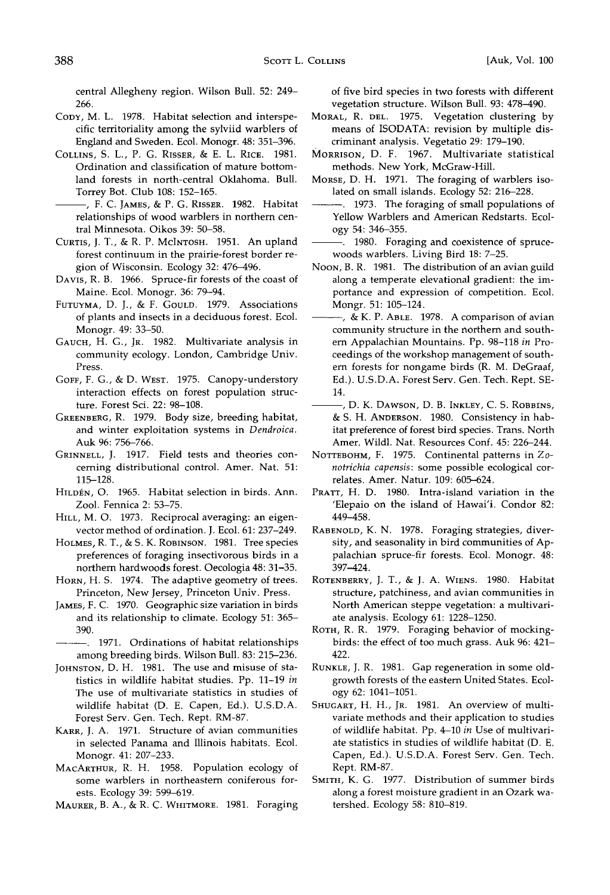**central Allegheny region. Wilson Bull. 52: 249- 266.** 

- **COPY, M. L. 1978. Habitat selection and interspecific territoriality among the sylviid warblers of England and Sweden. Ecol. Monogr. 48: 351-396.**
- **COLLINS, S. L., P. G. RISSER, & E. L. RICE. 1981. Ordination and classification of mature bottomland forests in north-central Oklahoma. Bull. Torrey Bot. Club 108: 152-165.**
- **, F. C. JAMES, 8z P. G. RISSER. 1982. Habitat relationships of wood warblers in northern central Minnesota. Oikos 39: 50-58.**
- CURTIS, J. T., & R. P. McINTOSH. 1951. An upland **forest continuum in the prairie-forest border region of Wisconsin. Ecology 32: 476-496.**
- DAVIS, R. B. 1966. Spruce-fir forests of the coast of **Maine. Ecol. Monogr. 36: 79-94.**
- **FUTUYMA, D. J., 8z F. GOULD. 1979. Associations of plants and insects in a deciduous forest. Ecol. Monogr. 49: 33-50.**
- **GAUCH, H. G., JR. 1982. Multivariate analysis in community ecology. London, Cambridge Univ. Press.**
- **GOFF, F. G., & D. WEST. 1975. Canopy-understory interaction effects on forest population structure. Forest Sci. 22: 98-108.**
- GREENBERG, R. 1979. Body size, breeding habitat, **and winter exploitation systems in Dendroica. Auk 96: 756-766.**
- **GRINNELL, J. 1917. Field tests and theories concerning distributional control. Amer. Nat. 51: 115-128.**
- HILDÉN, O. 1965. Habitat selection in birds. Ann. **Zool. Fennica 2: 53-75.**
- **HILL, M. O. 1973. Reciprocal averaging: an eigenvector method of ordination. J. Ecol. 61: 237-249.**
- **HOLMES, R. T., & S. K. ROBINSON. 1981. Tree species preferences of foraging insectivorous birds in a northern hardwoods forest. Oecologia 48: 31-35.**
- **HORN, H.S. 1974. The adaptive geometry of trees. Princeton, New Jersey, Princeton Univ. Press.**
- **JAMES, F.C. 1970. Geographic size variation in birds and its relationship to climate. Ecology 51: 365- 390.**
- **1971. Ordinations of habitat relationships among breeding birds. Wilson Bull. 83: 215-236.**
- JOHNSTON, D. H. 1981. The use and misuse of sta**tistics in wildlife habitat studies. Pp. 11-19 in The use of multivariate statistics in studies of wildlife habitat (D. E. Capen, Ed.). U.S.D.A. Forest Serv. Gen. Tech. Rept. RM-87.**
- KARR, J. A. 1971. Structure of avian communities **in selected Panama and Illinois habitats. Ecol. Monogr. 41: 207-233.**
- **MACARTHUR, R. H. 1958. Population ecology of some warblers in northeastern coniferous forests. Ecology 39: 599-619.**
- **MAURER, B. A., & R. C. WHITMORE. 1981. Foraging**

**of five bird species in two forests with different vegetation structure. Wilson Bull. 93: 478-490.** 

- MORAL, R. DEL. 1975. Vegetation clustering by **means of ISODATA: revision by multiple discriminant analysis. Vegetatio 29: 179-190.**
- **MORRISON, D. F. 1967. Multivariate statistical methods. New York, McGraw-Hill.**
- **MORSE, D. H. 1971. The foraging of warblers isolated on small islands. Ecology 52: 216-228.**
- **1973. The foraging of small populations of Yellow Warblers and American Redstarts. Ecology 54: 346-355.**
- **1980. Foraging and coexistence of sprucewoods warblers. Living Bird 18: 7-25.**
- **NooN, B. R. 1981. The distribution of an avian guild along a temperate elevational gradient: the importance and expression of competition. Ecol. Mongr. 51: 105-124.**
- **, & K. P. ABrE. 1978. A comparison of avian community structure in the northern and southern Appalachian Mountains. Pp. 98-118 in Proceedings of the workshop management of southern forests for nongame birds (R. M. DeGraaf, Ed.). U.S.D.A. Forest Serv. Gen. Tech. Rept. SE-14.**
- **, D. K. DAWSON, D. B. INKLEY, C. S. ROBBINS, 8z S. H. ANDERSON. 1980. Consistency in habitat preference of forest bird species. Trans. North Amer. Wildl. Nat. Resources Conf. 45: 226-244.**
- **NOTTEBOHM, F. 1975. Continental patterns in Zonotrichia capensis: some possible ecological correlates. Amer. Natur. 109: 605-624.**
- PRATT, H. D. 1980. Intra-island variation in the **'Elepaio on the island of Hawai'i. Condor 82: 449-458.**
- **RABENOLD, K. N. 1978. Foraging strategies, diversity, and seasonality in bird communities of Appalachian spruce-fir forests. Ecol. Monogr. 48: 397-424.**
- **ROTENBERRY, J. T., & J. A. WIENS. 1980. Habitat structure, patchiness, and avian communities in North American steppe vegetation: a multivariate analysis. Ecology 61: 1228-1250.**
- ROTH, R. R. 1979. Foraging behavior of mocking**birds: the effect of too much grass. Auk 96: 421- 422.**
- RUNKLE, J. R. 1981. Gap regeneration in some old**growth forests of the eastern United States. Ecology 62: 1041-1051.**
- **SHUGART, H. H., JR. 1981. An overview of multivariate methods and their application to studies of wildlife habitat. Pp. 4-10 in Use of multivariate statistics in studies of wildlife habitat (D. E. Capen, Ed.). U.S.D.A. Forest Serv. Gen. Tech. Rept. RM-87.**
- SMITH, K. G. 1977. Distribution of summer birds **along a forest moisture gradient in an Ozark watershed. Ecology 58: 810-819.**